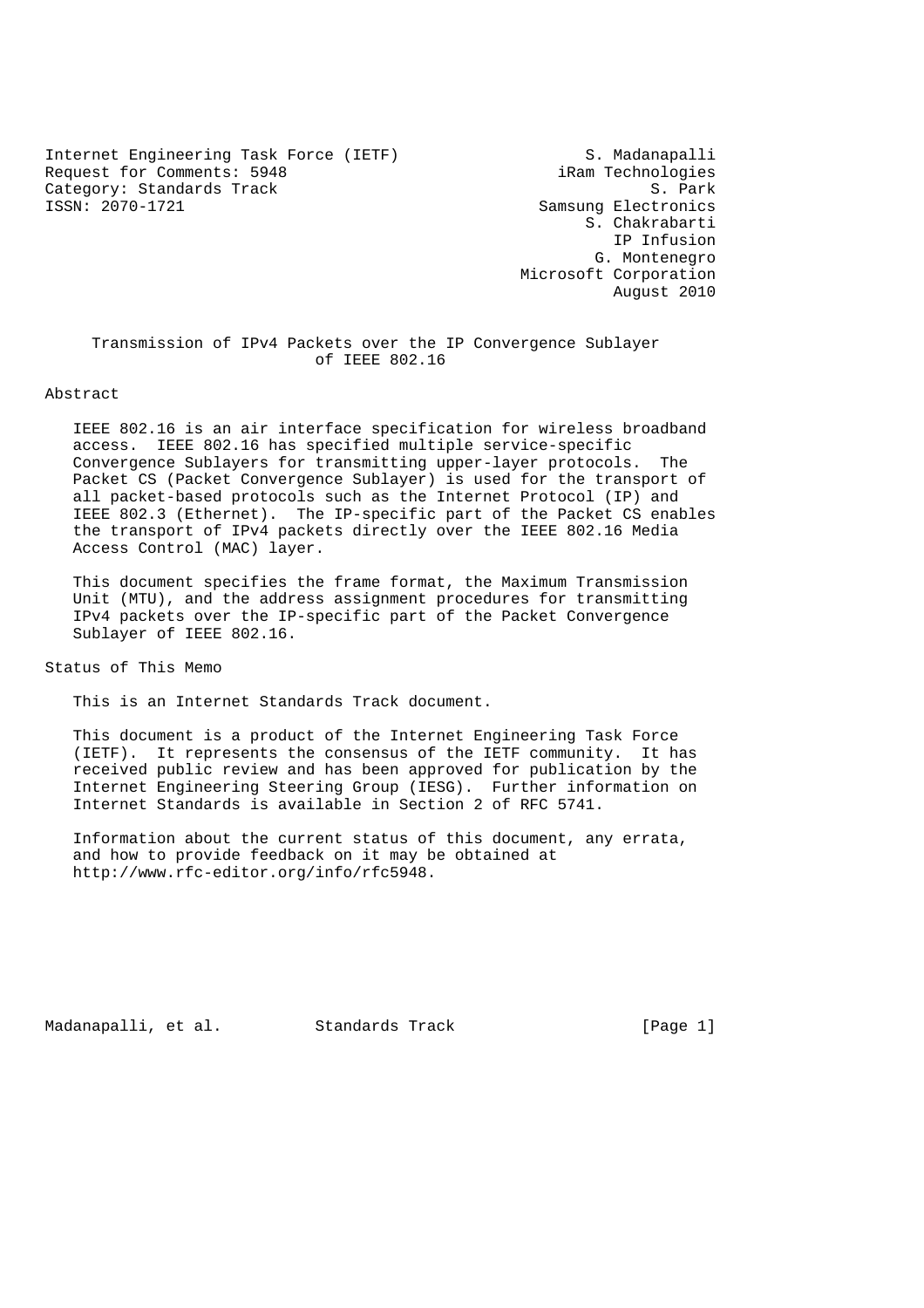Internet Engineering Task Force (IETF) S. Madanapalli Request for Comments: 5948 iRam Technologies Category: Standards Track S. Park S. Park ISSN: 2070-1721 Samsung Electronics

 S. Chakrabarti IP Infusion G. Montenegro Microsoft Corporation August 2010

 Transmission of IPv4 Packets over the IP Convergence Sublayer of IEEE 802.16

### Abstract

 IEEE 802.16 is an air interface specification for wireless broadband access. IEEE 802.16 has specified multiple service-specific Convergence Sublayers for transmitting upper-layer protocols. The Packet CS (Packet Convergence Sublayer) is used for the transport of all packet-based protocols such as the Internet Protocol (IP) and IEEE 802.3 (Ethernet). The IP-specific part of the Packet CS enables the transport of IPv4 packets directly over the IEEE 802.16 Media Access Control (MAC) layer.

 This document specifies the frame format, the Maximum Transmission Unit (MTU), and the address assignment procedures for transmitting IPv4 packets over the IP-specific part of the Packet Convergence Sublayer of IEEE 802.16.

Status of This Memo

This is an Internet Standards Track document.

 This document is a product of the Internet Engineering Task Force (IETF). It represents the consensus of the IETF community. It has received public review and has been approved for publication by the Internet Engineering Steering Group (IESG). Further information on Internet Standards is available in Section 2 of RFC 5741.

 Information about the current status of this document, any errata, and how to provide feedback on it may be obtained at http://www.rfc-editor.org/info/rfc5948.

Madanapalli, et al. Standards Track [Page 1]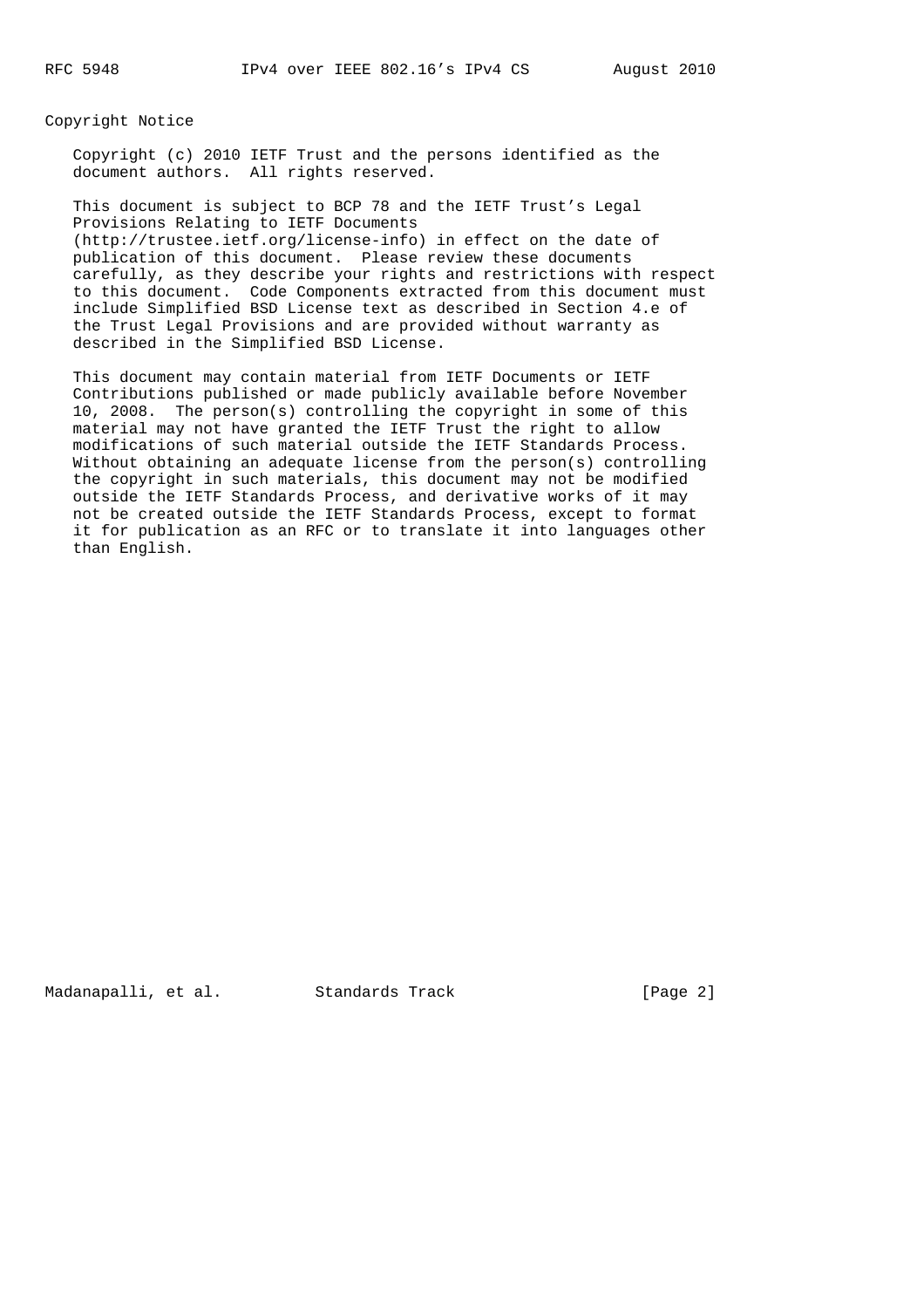Copyright Notice

 Copyright (c) 2010 IETF Trust and the persons identified as the document authors. All rights reserved.

 This document is subject to BCP 78 and the IETF Trust's Legal Provisions Relating to IETF Documents (http://trustee.ietf.org/license-info) in effect on the date of publication of this document. Please review these documents carefully, as they describe your rights and restrictions with respect to this document. Code Components extracted from this document must include Simplified BSD License text as described in Section 4.e of the Trust Legal Provisions and are provided without warranty as described in the Simplified BSD License.

 This document may contain material from IETF Documents or IETF Contributions published or made publicly available before November 10, 2008. The person(s) controlling the copyright in some of this material may not have granted the IETF Trust the right to allow modifications of such material outside the IETF Standards Process. Without obtaining an adequate license from the person(s) controlling the copyright in such materials, this document may not be modified outside the IETF Standards Process, and derivative works of it may not be created outside the IETF Standards Process, except to format it for publication as an RFC or to translate it into languages other than English.

Madanapalli, et al. Standards Track [Page 2]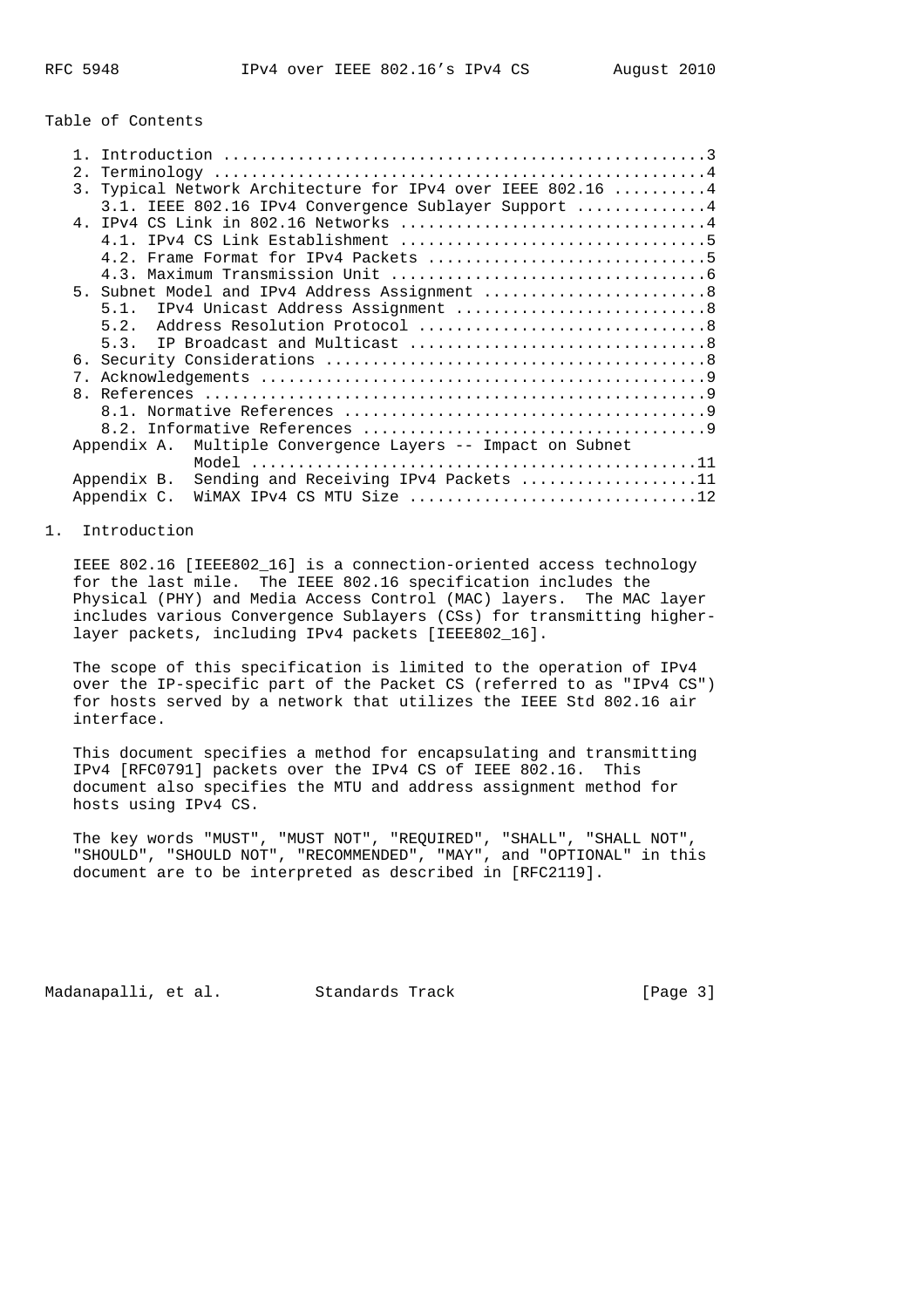Table of Contents

| 2. |             |                                                           |  |
|----|-------------|-----------------------------------------------------------|--|
| 3. |             | Typical Network Architecture for IPv4 over IEEE 802.16  4 |  |
|    |             | 3.1. IEEE 802.16 IPv4 Convergence Sublayer Support 4      |  |
|    |             |                                                           |  |
|    | 4 1         |                                                           |  |
|    |             |                                                           |  |
|    |             |                                                           |  |
|    |             | 5. Subnet Model and IPv4 Address Assignment 8             |  |
|    | 5.1.        | IPv4 Unicast Address Assignment 8                         |  |
|    | 5.2.        |                                                           |  |
|    | 5.3.        |                                                           |  |
|    |             |                                                           |  |
| 7. |             |                                                           |  |
|    |             |                                                           |  |
|    |             |                                                           |  |
|    |             |                                                           |  |
|    | Appendix A. | Multiple Convergence Layers -- Impact on Subnet           |  |
|    |             |                                                           |  |
|    | Appendix B. | Sending and Receiving IPv4 Packets 11                     |  |
|    | Appendix C. | WiMAX IPv4 CS MTU Size 12                                 |  |
|    |             |                                                           |  |

# 1. Introduction

 IEEE 802.16 [IEEE802\_16] is a connection-oriented access technology for the last mile. The IEEE 802.16 specification includes the Physical (PHY) and Media Access Control (MAC) layers. The MAC layer includes various Convergence Sublayers (CSs) for transmitting higher layer packets, including IPv4 packets [IEEE802\_16].

 The scope of this specification is limited to the operation of IPv4 over the IP-specific part of the Packet CS (referred to as "IPv4 CS") for hosts served by a network that utilizes the IEEE Std 802.16 air interface.

 This document specifies a method for encapsulating and transmitting IPv4 [RFC0791] packets over the IPv4 CS of IEEE 802.16. This document also specifies the MTU and address assignment method for hosts using IPv4 CS.

 The key words "MUST", "MUST NOT", "REQUIRED", "SHALL", "SHALL NOT", "SHOULD", "SHOULD NOT", "RECOMMENDED", "MAY", and "OPTIONAL" in this document are to be interpreted as described in [RFC2119].

Madanapalli, et al. Standards Track [Page 3]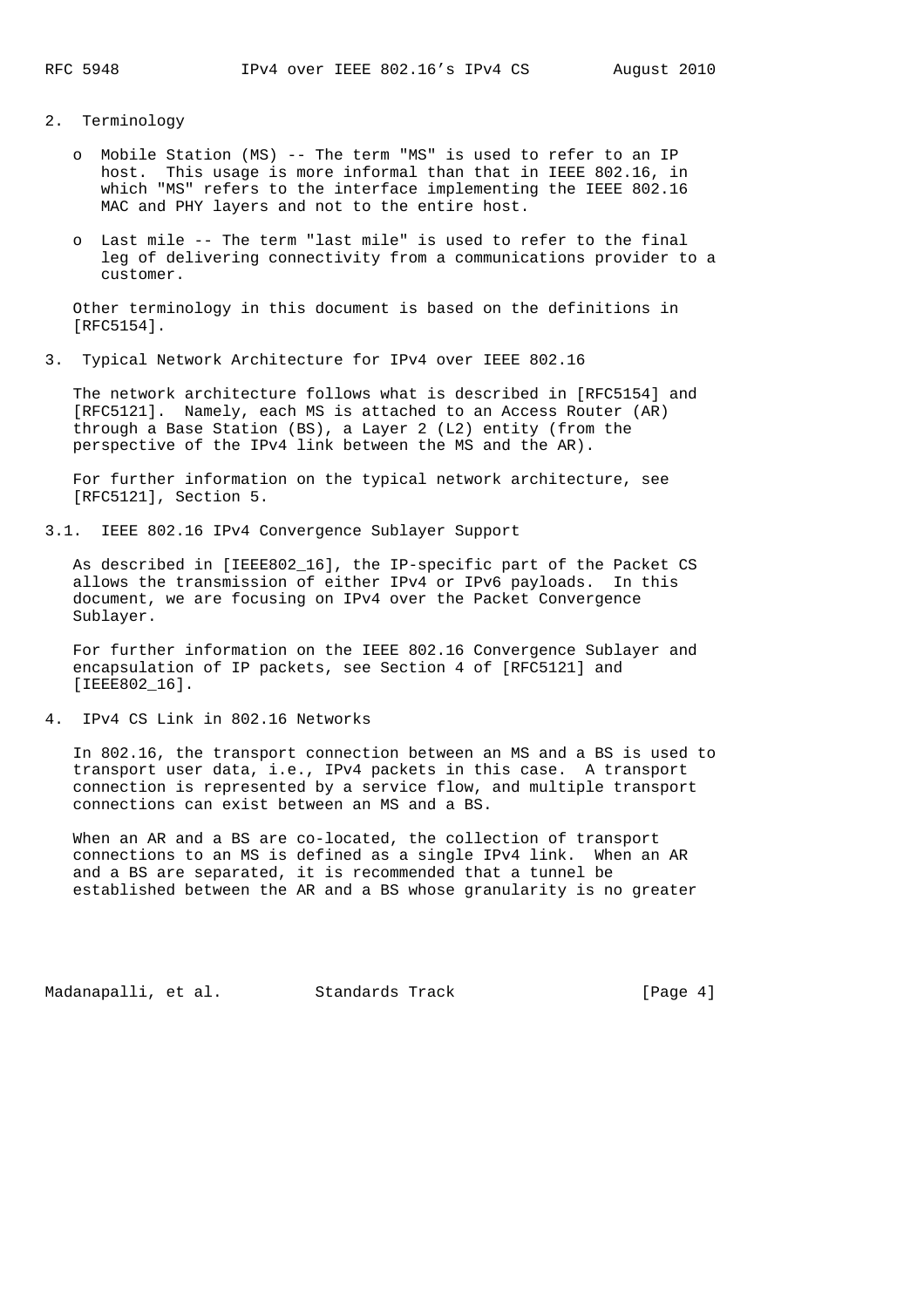- 2. Terminology
	- o Mobile Station (MS) -- The term "MS" is used to refer to an IP host. This usage is more informal than that in IEEE 802.16, in which "MS" refers to the interface implementing the IEEE 802.16 MAC and PHY layers and not to the entire host.
	- o Last mile -- The term "last mile" is used to refer to the final leg of delivering connectivity from a communications provider to a customer.

 Other terminology in this document is based on the definitions in [RFC5154].

3. Typical Network Architecture for IPv4 over IEEE 802.16

 The network architecture follows what is described in [RFC5154] and [RFC5121]. Namely, each MS is attached to an Access Router (AR) through a Base Station (BS), a Layer 2 (L2) entity (from the perspective of the IPv4 link between the MS and the AR).

 For further information on the typical network architecture, see [RFC5121], Section 5.

3.1. IEEE 802.16 IPv4 Convergence Sublayer Support

 As described in [IEEE802\_16], the IP-specific part of the Packet CS allows the transmission of either IPv4 or IPv6 payloads. In this document, we are focusing on IPv4 over the Packet Convergence Sublayer.

 For further information on the IEEE 802.16 Convergence Sublayer and encapsulation of IP packets, see Section 4 of [RFC5121] and [IEEE802\_16].

4. IPv4 CS Link in 802.16 Networks

 In 802.16, the transport connection between an MS and a BS is used to transport user data, i.e., IPv4 packets in this case. A transport connection is represented by a service flow, and multiple transport connections can exist between an MS and a BS.

 When an AR and a BS are co-located, the collection of transport connections to an MS is defined as a single IPv4 link. When an AR and a BS are separated, it is recommended that a tunnel be established between the AR and a BS whose granularity is no greater

Madanapalli, et al. Standards Track [Page 4]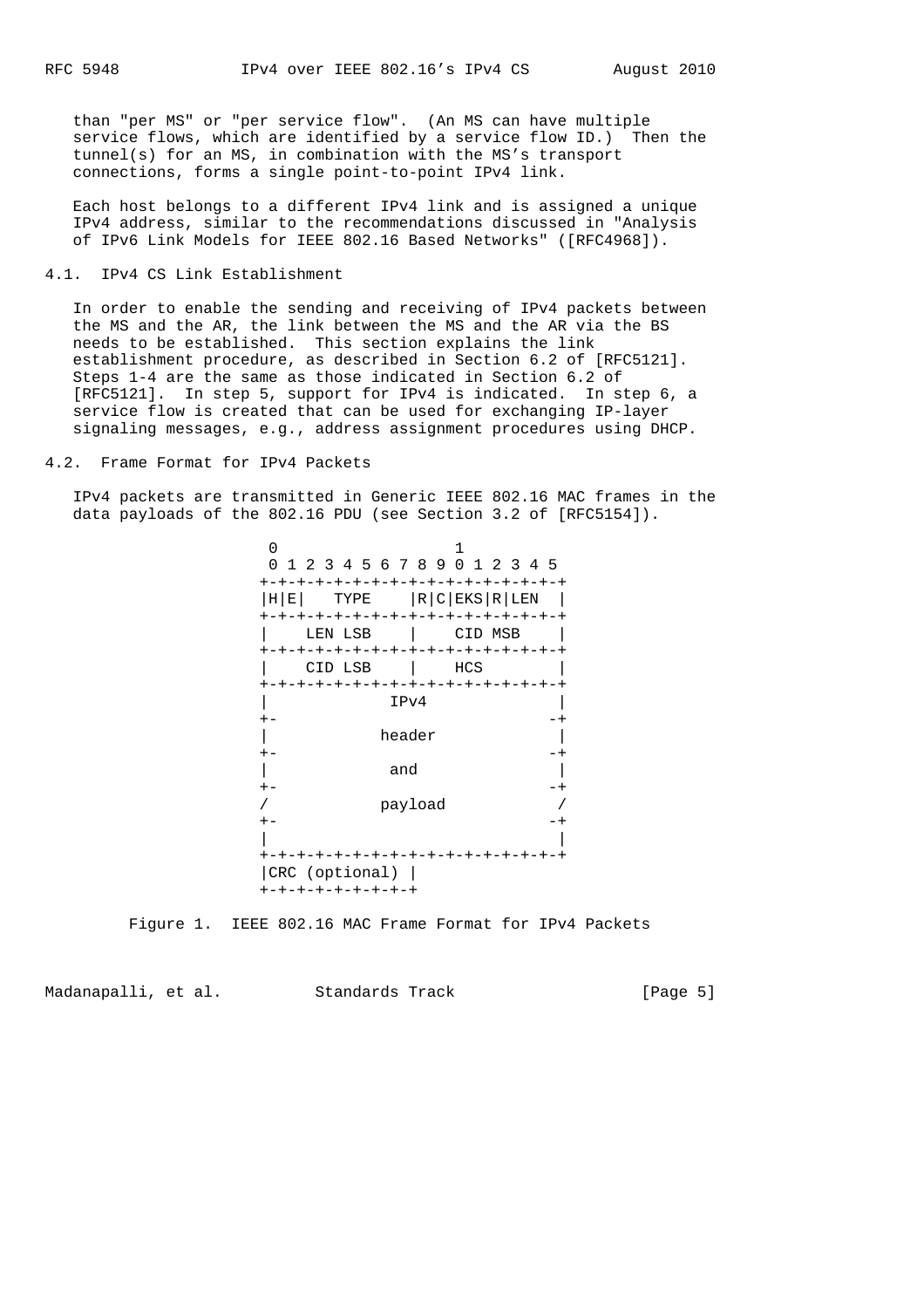than "per MS" or "per service flow". (An MS can have multiple service flows, which are identified by a service flow ID.) Then the tunnel(s) for an MS, in combination with the MS's transport connections, forms a single point-to-point IPv4 link.

 Each host belongs to a different IPv4 link and is assigned a unique IPv4 address, similar to the recommendations discussed in "Analysis of IPv6 Link Models for IEEE 802.16 Based Networks" ([RFC4968]).

#### 4.1. IPv4 CS Link Establishment

 In order to enable the sending and receiving of IPv4 packets between the MS and the AR, the link between the MS and the AR via the BS needs to be established. This section explains the link establishment procedure, as described in Section 6.2 of [RFC5121]. Steps 1-4 are the same as those indicated in Section 6.2 of [RFC5121]. In step 5, support for IPv4 is indicated. In step 6, a service flow is created that can be used for exchanging IP-layer signaling messages, e.g., address assignment procedures using DHCP.

#### 4.2. Frame Format for IPv4 Packets

 IPv4 packets are transmitted in Generic IEEE 802.16 MAC frames in the data payloads of the 802.16 PDU (see Section 3.2 of [RFC5154]).

| 1 2 3 4 5 6 7 8 9 0 1 2 3 4 5              |         |                         |         |         |  |  |
|--------------------------------------------|---------|-------------------------|---------|---------|--|--|
| +-+-+-+-+-+-+-+-+-+-+-+-+-+-+-+-+-+        |         |                         |         |         |  |  |
| H E <br>+-+-+-+-+-+-+-+-+-+-+-+-+-+-+-+-+- |         | TYPE $ R C  EKS  R LEN$ |         |         |  |  |
|                                            | LEN LSB |                         |         | CID MSB |  |  |
| +-+-+-+-+-+-+-+-+-+-+-+-+-+-+-+-+-         |         |                         |         |         |  |  |
|                                            | CID LSB |                         |         | HCS     |  |  |
| +-+-+-+-+-+-+-+-+-+-+-+-+-+-+-+-+-         |         |                         |         |         |  |  |
|                                            |         |                         | IPv4    |         |  |  |
| $+ -$                                      |         |                         |         |         |  |  |
|                                            |         |                         | header  |         |  |  |
|                                            |         |                         |         |         |  |  |
|                                            |         |                         | and     |         |  |  |
|                                            |         |                         |         |         |  |  |
|                                            |         |                         | payload |         |  |  |
| $+ -$                                      |         |                         |         |         |  |  |
|                                            |         |                         |         |         |  |  |
| +-+-+-+-+-+-+-+-+-+-+-+-+-+-+-+-+-         |         |                         |         |         |  |  |
| CRC (optional)                             |         |                         |         |         |  |  |
| +-+-+-+-+-+-+-+-+                          |         |                         |         |         |  |  |

Figure 1. IEEE 802.16 MAC Frame Format for IPv4 Packets

Madanapalli, et al. Standards Track (Page 5)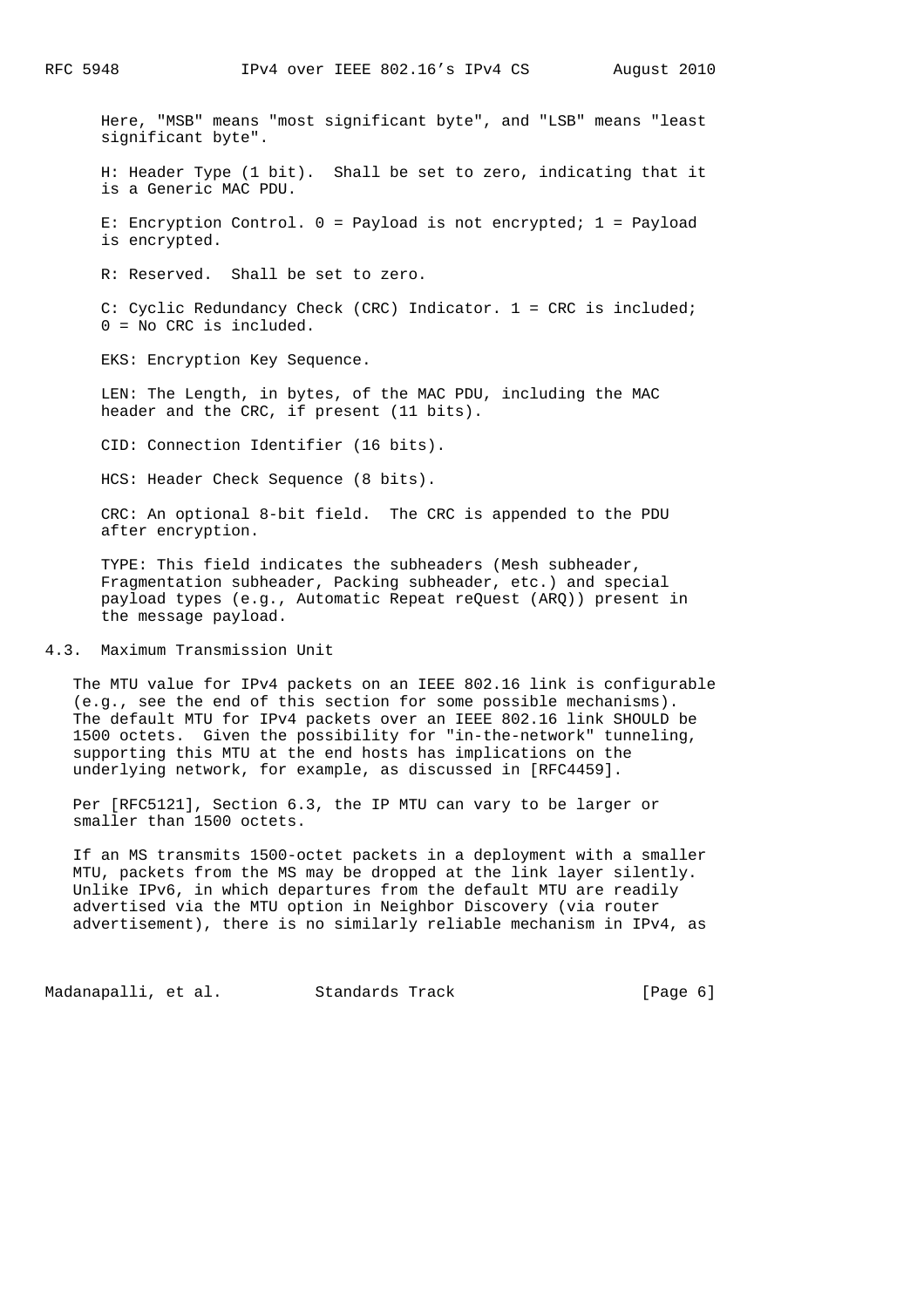Here, "MSB" means "most significant byte", and "LSB" means "least significant byte".

 H: Header Type (1 bit). Shall be set to zero, indicating that it is a Generic MAC PDU.

 E: Encryption Control. 0 = Payload is not encrypted; 1 = Payload is encrypted.

R: Reserved. Shall be set to zero.

 C: Cyclic Redundancy Check (CRC) Indicator. 1 = CRC is included; 0 = No CRC is included.

EKS: Encryption Key Sequence.

 LEN: The Length, in bytes, of the MAC PDU, including the MAC header and the CRC, if present (11 bits).

CID: Connection Identifier (16 bits).

HCS: Header Check Sequence (8 bits).

 CRC: An optional 8-bit field. The CRC is appended to the PDU after encryption.

 TYPE: This field indicates the subheaders (Mesh subheader, Fragmentation subheader, Packing subheader, etc.) and special payload types (e.g., Automatic Repeat reQuest (ARQ)) present in the message payload.

4.3. Maximum Transmission Unit

 The MTU value for IPv4 packets on an IEEE 802.16 link is configurable (e.g., see the end of this section for some possible mechanisms). The default MTU for IPv4 packets over an IEEE 802.16 link SHOULD be 1500 octets. Given the possibility for "in-the-network" tunneling, supporting this MTU at the end hosts has implications on the underlying network, for example, as discussed in [RFC4459].

 Per [RFC5121], Section 6.3, the IP MTU can vary to be larger or smaller than 1500 octets.

 If an MS transmits 1500-octet packets in a deployment with a smaller MTU, packets from the MS may be dropped at the link layer silently. Unlike IPv6, in which departures from the default MTU are readily advertised via the MTU option in Neighbor Discovery (via router advertisement), there is no similarly reliable mechanism in IPv4, as

Madanapalli, et al. Standards Track [Page 6]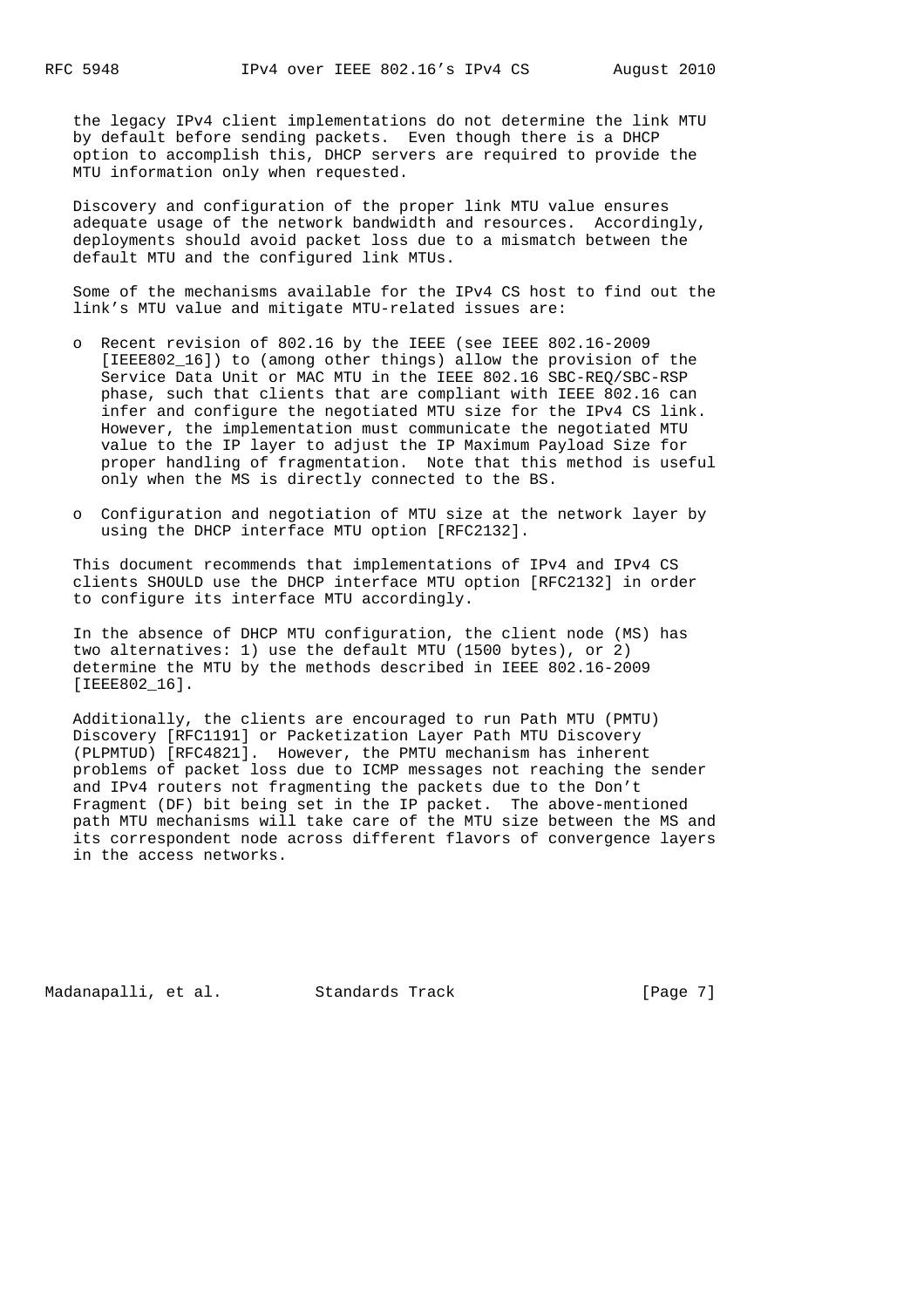the legacy IPv4 client implementations do not determine the link MTU by default before sending packets. Even though there is a DHCP option to accomplish this, DHCP servers are required to provide the MTU information only when requested.

 Discovery and configuration of the proper link MTU value ensures adequate usage of the network bandwidth and resources. Accordingly, deployments should avoid packet loss due to a mismatch between the default MTU and the configured link MTUs.

 Some of the mechanisms available for the IPv4 CS host to find out the link's MTU value and mitigate MTU-related issues are:

- o Recent revision of 802.16 by the IEEE (see IEEE 802.16-2009 [IEEE802\_16]) to (among other things) allow the provision of the Service Data Unit or MAC MTU in the IEEE 802.16 SBC-REQ/SBC-RSP phase, such that clients that are compliant with IEEE 802.16 can infer and configure the negotiated MTU size for the IPv4 CS link. However, the implementation must communicate the negotiated MTU value to the IP layer to adjust the IP Maximum Payload Size for proper handling of fragmentation. Note that this method is useful only when the MS is directly connected to the BS.
- o Configuration and negotiation of MTU size at the network layer by using the DHCP interface MTU option [RFC2132].

 This document recommends that implementations of IPv4 and IPv4 CS clients SHOULD use the DHCP interface MTU option [RFC2132] in order to configure its interface MTU accordingly.

 In the absence of DHCP MTU configuration, the client node (MS) has two alternatives: 1) use the default MTU (1500 bytes), or 2) determine the MTU by the methods described in IEEE 802.16-2009 [IEEE802\_16].

 Additionally, the clients are encouraged to run Path MTU (PMTU) Discovery [RFC1191] or Packetization Layer Path MTU Discovery (PLPMTUD) [RFC4821]. However, the PMTU mechanism has inherent problems of packet loss due to ICMP messages not reaching the sender and IPv4 routers not fragmenting the packets due to the Don't Fragment (DF) bit being set in the IP packet. The above-mentioned path MTU mechanisms will take care of the MTU size between the MS and its correspondent node across different flavors of convergence layers in the access networks.

Madanapalli, et al. Standards Track [Page 7]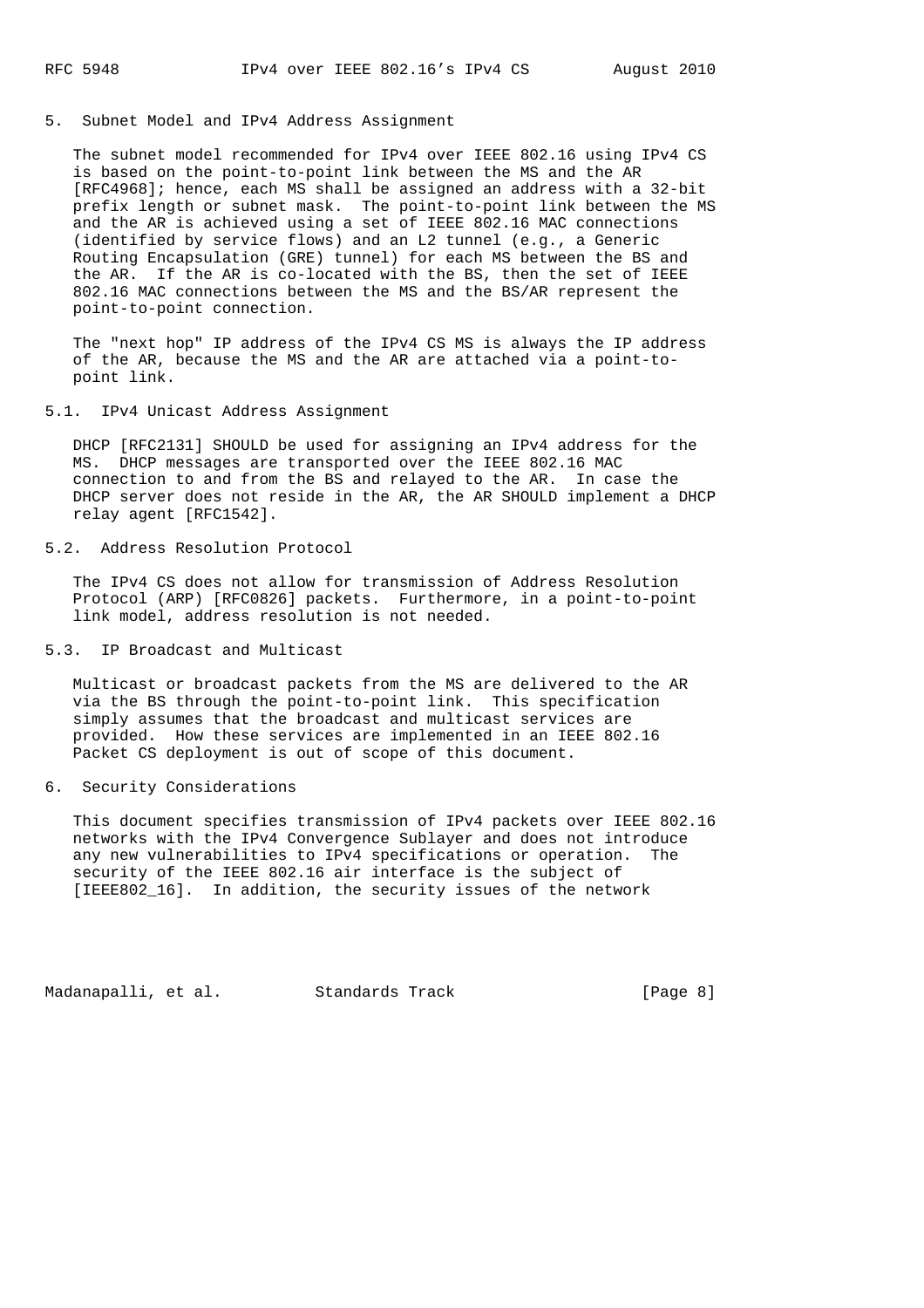5. Subnet Model and IPv4 Address Assignment

 The subnet model recommended for IPv4 over IEEE 802.16 using IPv4 CS is based on the point-to-point link between the MS and the AR [RFC4968]; hence, each MS shall be assigned an address with a 32-bit prefix length or subnet mask. The point-to-point link between the MS and the AR is achieved using a set of IEEE 802.16 MAC connections (identified by service flows) and an L2 tunnel (e.g., a Generic Routing Encapsulation (GRE) tunnel) for each MS between the BS and the AR. If the AR is co-located with the BS, then the set of IEEE 802.16 MAC connections between the MS and the BS/AR represent the point-to-point connection.

 The "next hop" IP address of the IPv4 CS MS is always the IP address of the AR, because the MS and the AR are attached via a point-to point link.

5.1. IPv4 Unicast Address Assignment

 DHCP [RFC2131] SHOULD be used for assigning an IPv4 address for the MS. DHCP messages are transported over the IEEE 802.16 MAC connection to and from the BS and relayed to the AR. In case the DHCP server does not reside in the AR, the AR SHOULD implement a DHCP relay agent [RFC1542].

## 5.2. Address Resolution Protocol

 The IPv4 CS does not allow for transmission of Address Resolution Protocol (ARP) [RFC0826] packets. Furthermore, in a point-to-point link model, address resolution is not needed.

#### 5.3. IP Broadcast and Multicast

 Multicast or broadcast packets from the MS are delivered to the AR via the BS through the point-to-point link. This specification simply assumes that the broadcast and multicast services are provided. How these services are implemented in an IEEE 802.16 Packet CS deployment is out of scope of this document.

### 6. Security Considerations

 This document specifies transmission of IPv4 packets over IEEE 802.16 networks with the IPv4 Convergence Sublayer and does not introduce any new vulnerabilities to IPv4 specifications or operation. The security of the IEEE 802.16 air interface is the subject of [IEEE802\_16]. In addition, the security issues of the network

Madanapalli, et al. Standards Track [Page 8]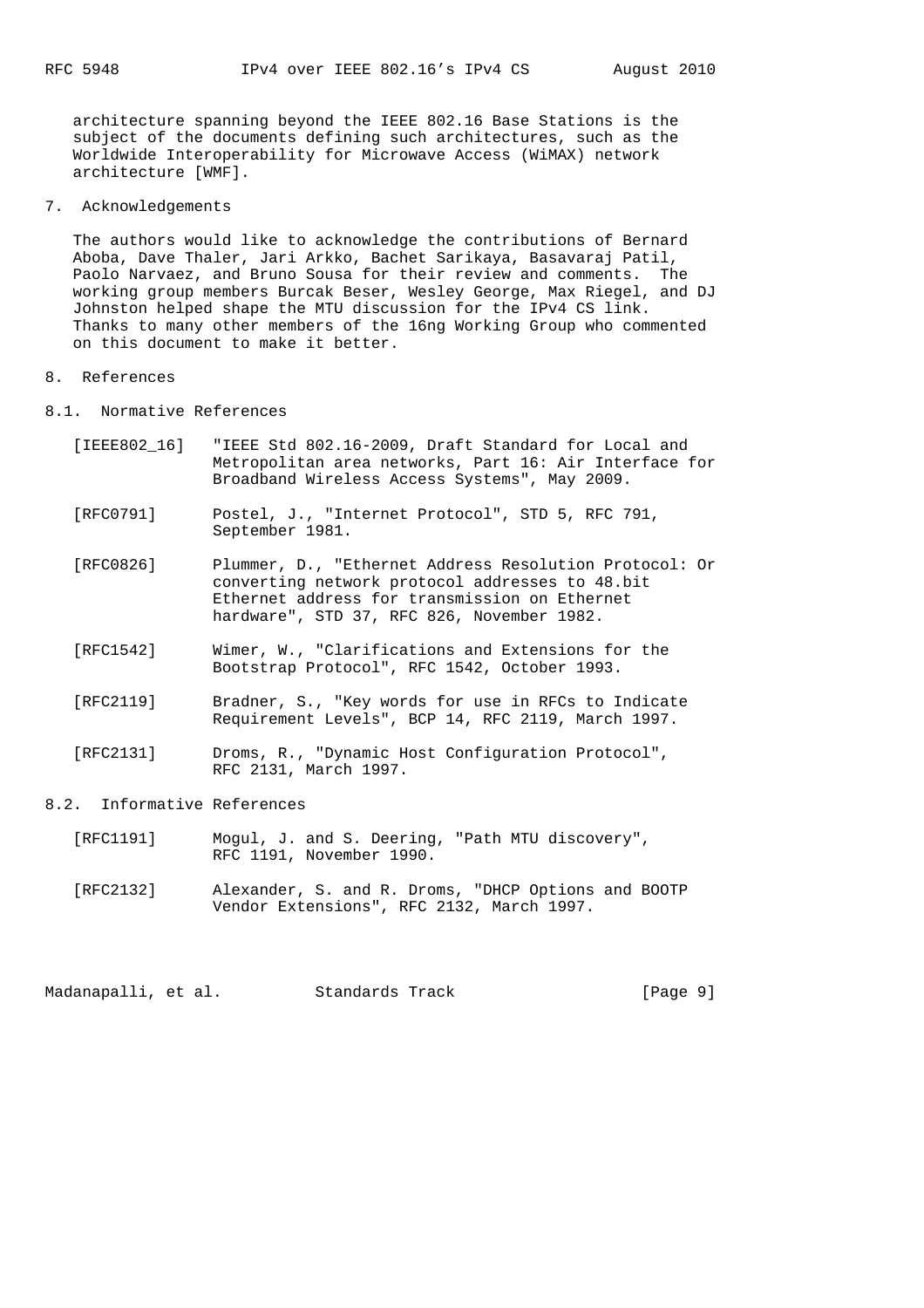architecture spanning beyond the IEEE 802.16 Base Stations is the subject of the documents defining such architectures, such as the Worldwide Interoperability for Microwave Access (WiMAX) network architecture [WMF].

7. Acknowledgements

 The authors would like to acknowledge the contributions of Bernard Aboba, Dave Thaler, Jari Arkko, Bachet Sarikaya, Basavaraj Patil, Paolo Narvaez, and Bruno Sousa for their review and comments. The working group members Burcak Beser, Wesley George, Max Riegel, and DJ Johnston helped shape the MTU discussion for the IPv4 CS link. Thanks to many other members of the 16ng Working Group who commented on this document to make it better.

- 8. References
- 8.1. Normative References
	- [IEEE802\_16] "IEEE Std 802.16-2009, Draft Standard for Local and Metropolitan area networks, Part 16: Air Interface for Broadband Wireless Access Systems", May 2009.
	- [RFC0791] Postel, J., "Internet Protocol", STD 5, RFC 791, September 1981.
	- [RFC0826] Plummer, D., "Ethernet Address Resolution Protocol: Or converting network protocol addresses to 48.bit Ethernet address for transmission on Ethernet hardware", STD 37, RFC 826, November 1982.
	- [RFC1542] Wimer, W., "Clarifications and Extensions for the Bootstrap Protocol", RFC 1542, October 1993.
	- [RFC2119] Bradner, S., "Key words for use in RFCs to Indicate Requirement Levels", BCP 14, RFC 2119, March 1997.
	- [RFC2131] Droms, R., "Dynamic Host Configuration Protocol", RFC 2131, March 1997.
- 8.2. Informative References
	- [RFC1191] Mogul, J. and S. Deering, "Path MTU discovery", RFC 1191, November 1990.
	- [RFC2132] Alexander, S. and R. Droms, "DHCP Options and BOOTP Vendor Extensions", RFC 2132, March 1997.

Madanapalli, et al. Standards Track [Page 9]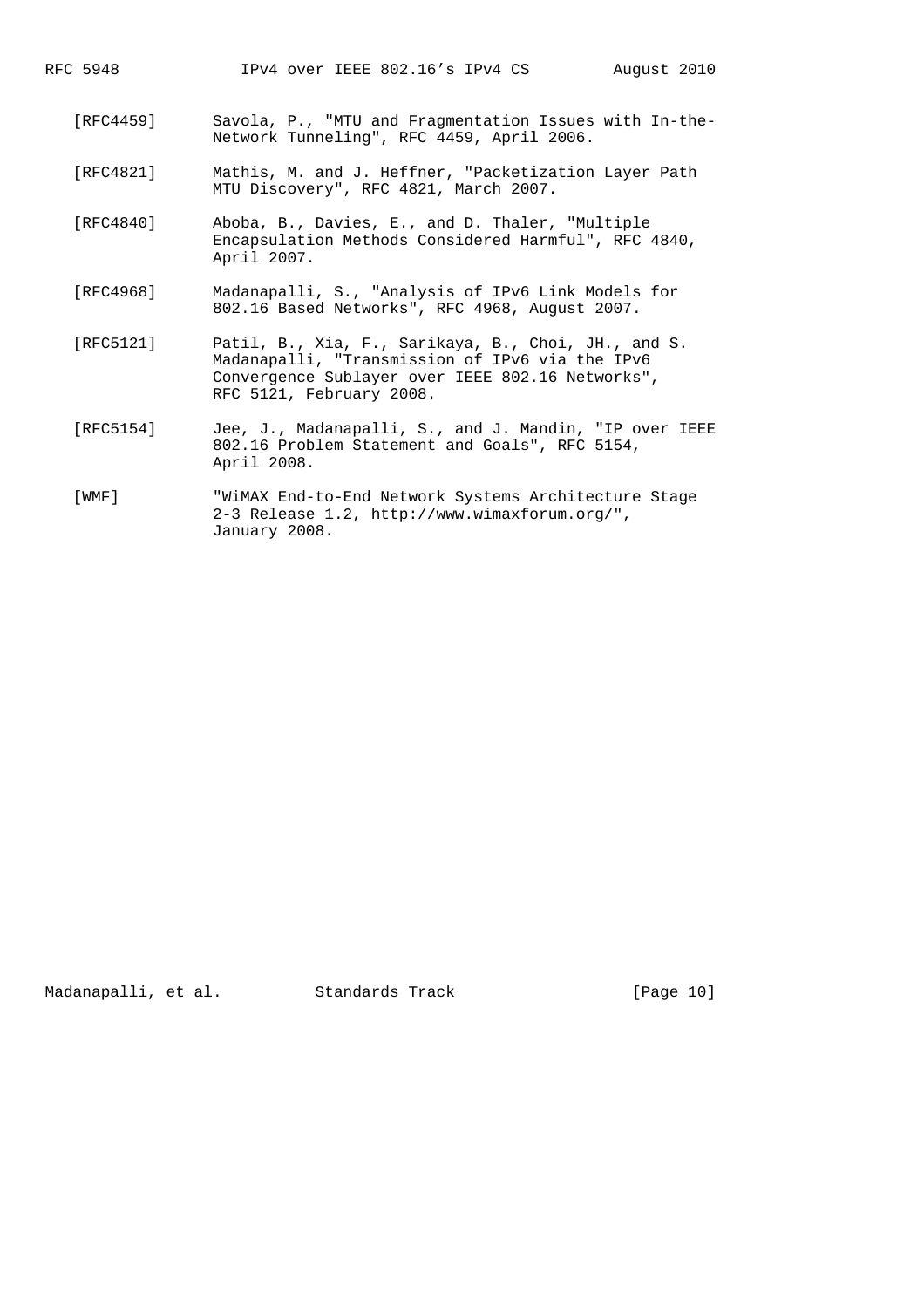| RFC 5948  | IPv4 over IEEE 802.16's IPv4 CS<br>August 2010                                                                                                                                         |
|-----------|----------------------------------------------------------------------------------------------------------------------------------------------------------------------------------------|
| [RFC4459] | Savola, P., "MTU and Fragmentation Issues with In-the-<br>Network Tunneling", RFC 4459, April 2006.                                                                                    |
| [RFC4821] | Mathis, M. and J. Heffner, "Packetization Layer Path<br>MTU Discovery", RFC 4821, March 2007.                                                                                          |
| [RFC4840] | Aboba, B., Davies, E., and D. Thaler, "Multiple<br>Encapsulation Methods Considered Harmful", RFC 4840,<br>April 2007.                                                                 |
| [RFC4968] | Madanapalli, S., "Analysis of IPv6 Link Models for<br>802.16 Based Networks", RFC 4968, August 2007.                                                                                   |
| [RFC5121] | Patil, B., Xia, F., Sarikaya, B., Choi, JH., and S.<br>Madanapalli, "Transmission of IPv6 via the IPv6<br>Convergence Sublayer over IEEE 802.16 Networks",<br>RFC 5121, February 2008. |
| [RFC5154] | Jee, J., Madanapalli, S., and J. Mandin, "IP over IEEE<br>802.16 Problem Statement and Goals", RFC 5154,<br>April 2008.                                                                |
| [WMF]     | "WiMAX End-to-End Network Systems Architecture Stage<br>2-3 Release 1.2, http://www.wimaxforum.org/",<br>January 2008.                                                                 |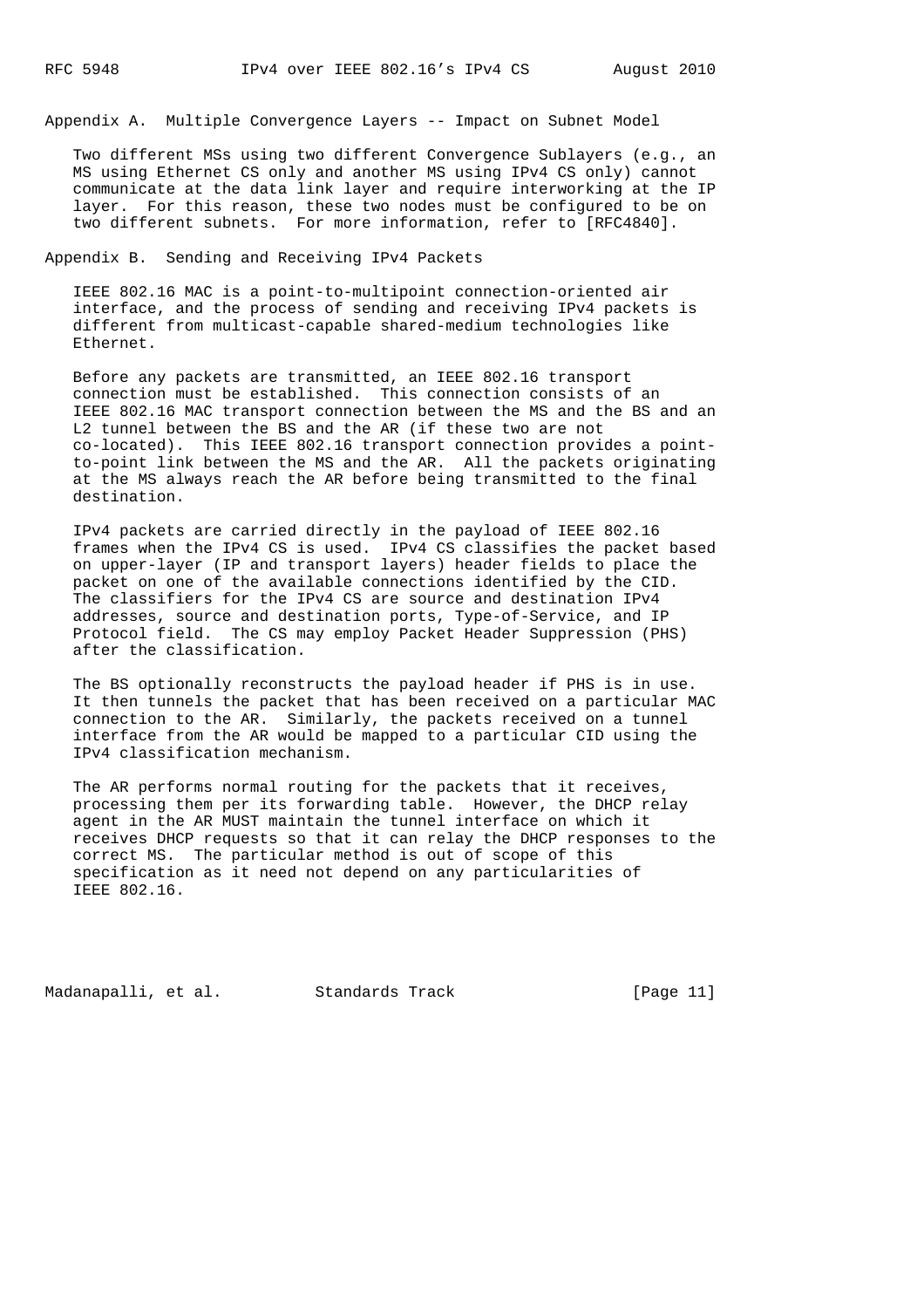Appendix A. Multiple Convergence Layers -- Impact on Subnet Model

 Two different MSs using two different Convergence Sublayers (e.g., an MS using Ethernet CS only and another MS using IPv4 CS only) cannot communicate at the data link layer and require interworking at the IP layer. For this reason, these two nodes must be configured to be on two different subnets. For more information, refer to [RFC4840].

Appendix B. Sending and Receiving IPv4 Packets

 IEEE 802.16 MAC is a point-to-multipoint connection-oriented air interface, and the process of sending and receiving IPv4 packets is different from multicast-capable shared-medium technologies like Ethernet.

 Before any packets are transmitted, an IEEE 802.16 transport connection must be established. This connection consists of an IEEE 802.16 MAC transport connection between the MS and the BS and an L2 tunnel between the BS and the AR (if these two are not co-located). This IEEE 802.16 transport connection provides a point to-point link between the MS and the AR. All the packets originating at the MS always reach the AR before being transmitted to the final destination.

 IPv4 packets are carried directly in the payload of IEEE 802.16 frames when the IPv4 CS is used. IPv4 CS classifies the packet based on upper-layer (IP and transport layers) header fields to place the packet on one of the available connections identified by the CID. The classifiers for the IPv4 CS are source and destination IPv4 addresses, source and destination ports, Type-of-Service, and IP Protocol field. The CS may employ Packet Header Suppression (PHS) after the classification.

 The BS optionally reconstructs the payload header if PHS is in use. It then tunnels the packet that has been received on a particular MAC connection to the AR. Similarly, the packets received on a tunnel interface from the AR would be mapped to a particular CID using the IPv4 classification mechanism.

 The AR performs normal routing for the packets that it receives, processing them per its forwarding table. However, the DHCP relay agent in the AR MUST maintain the tunnel interface on which it receives DHCP requests so that it can relay the DHCP responses to the correct MS. The particular method is out of scope of this specification as it need not depend on any particularities of IEEE 802.16.

Madanapalli, et al. Standards Track [Page 11]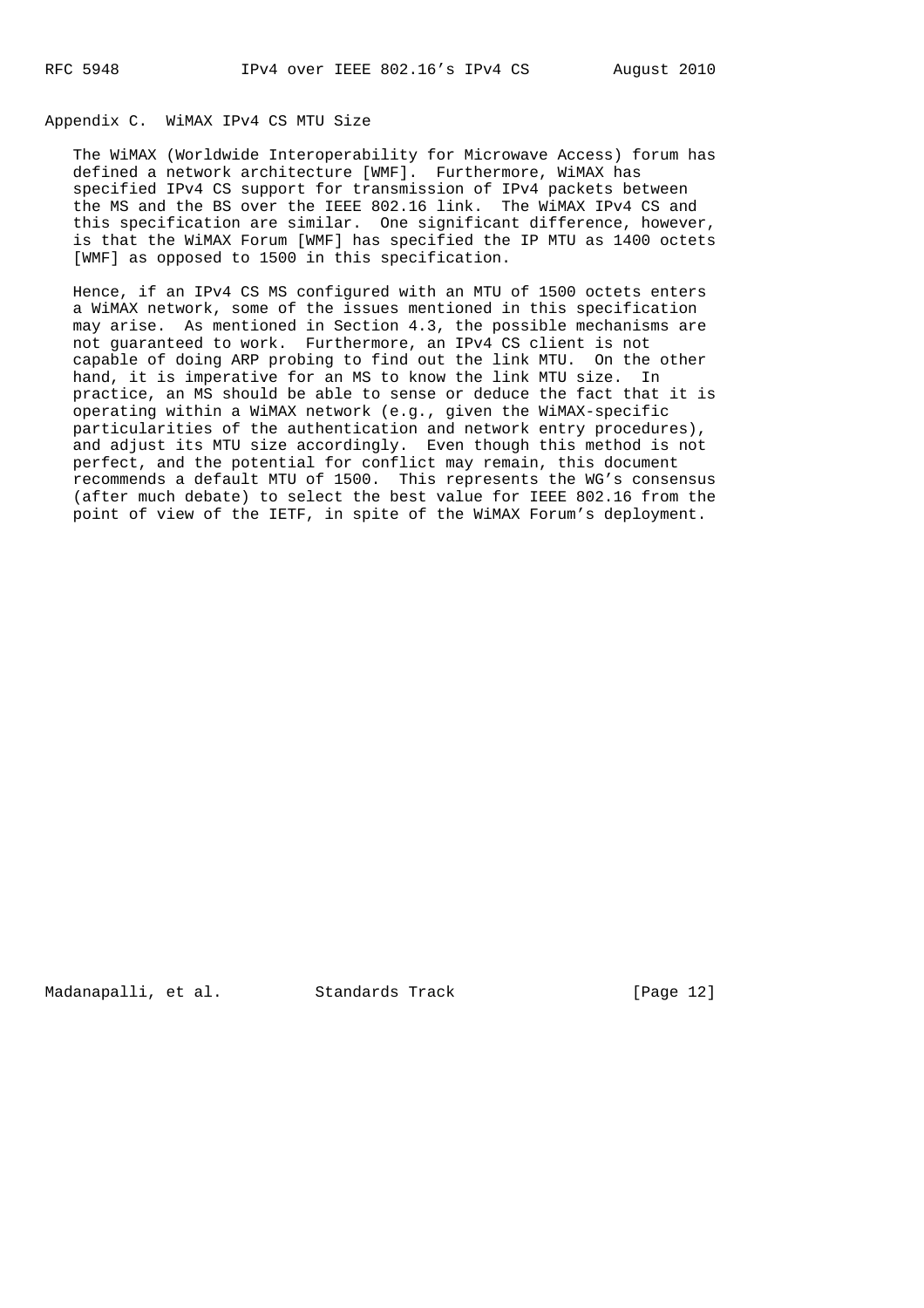# Appendix C. WiMAX IPv4 CS MTU Size

 The WiMAX (Worldwide Interoperability for Microwave Access) forum has defined a network architecture [WMF]. Furthermore, WiMAX has specified IPv4 CS support for transmission of IPv4 packets between the MS and the BS over the IEEE 802.16 link. The WiMAX IPv4 CS and this specification are similar. One significant difference, however, is that the WiMAX Forum [WMF] has specified the IP MTU as 1400 octets [WMF] as opposed to 1500 in this specification.

 Hence, if an IPv4 CS MS configured with an MTU of 1500 octets enters a WiMAX network, some of the issues mentioned in this specification may arise. As mentioned in Section 4.3, the possible mechanisms are not guaranteed to work. Furthermore, an IPv4 CS client is not capable of doing ARP probing to find out the link MTU. On the other hand, it is imperative for an MS to know the link MTU size. In practice, an MS should be able to sense or deduce the fact that it is operating within a WiMAX network (e.g., given the WiMAX-specific particularities of the authentication and network entry procedures), and adjust its MTU size accordingly. Even though this method is not perfect, and the potential for conflict may remain, this document recommends a default MTU of 1500. This represents the WG's consensus (after much debate) to select the best value for IEEE 802.16 from the point of view of the IETF, in spite of the WiMAX Forum's deployment.

Madanapalli, et al. Standards Track [Page 12]